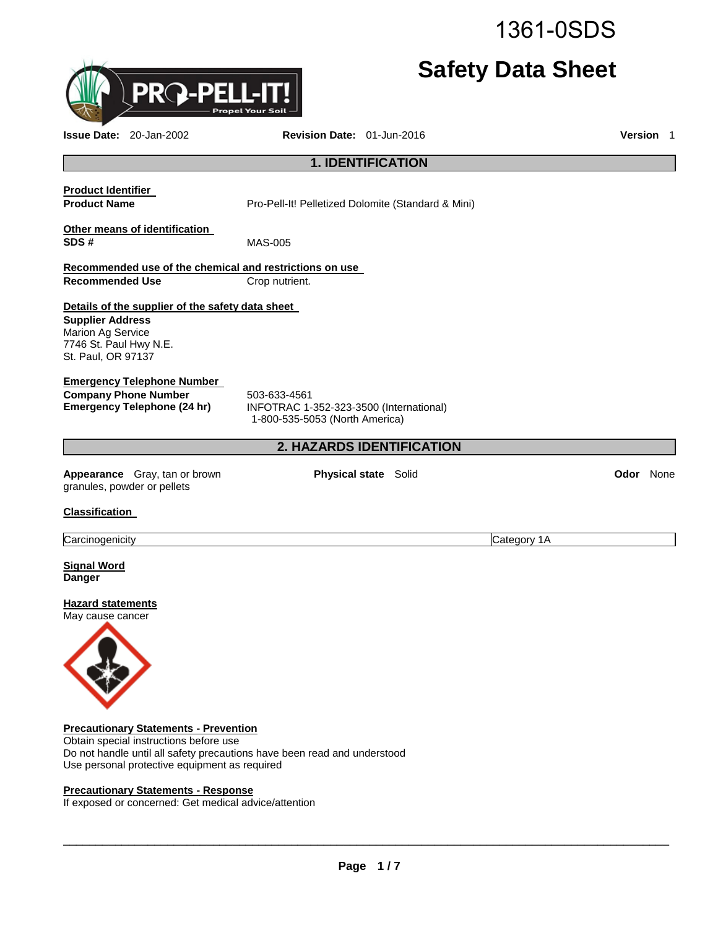1361-0SDS

# **Safety Data Sheet**

\_\_\_\_\_\_\_\_\_\_\_\_\_\_\_\_\_\_\_\_\_\_\_\_\_\_\_\_\_\_\_\_\_\_\_\_\_\_\_\_\_\_\_\_\_\_\_\_\_\_\_\_\_\_\_\_\_\_\_\_\_\_\_\_\_\_\_\_\_\_\_\_\_\_\_\_\_\_\_\_\_\_\_\_\_\_\_\_\_\_\_\_\_

# **1. IDENTIFICATION**

**Recommended use of the chemical and restrictions on use Recommended Use Crop nutrient.** 

# **Details of the supplier of the safety data sheet**

**Supplier Address** Marion Ag Service 7746 St. Paul Hwy N.E. St. Paul, OR 97137

#### **Emergency Telephone Number**

**Company Phone Number** 503-633-4561<br>**Emergency Telephone (24 hr)** INFOTRAC 1-

**Emergency Telephone (24 hr)** INFOTRAC 1-352-323-3500 (International) 1-800-535-5053 (North America)

# **2. HAZARDS IDENTIFICATION**

**Appearance** Gray, tan or brown granules, powder or pellets

**Physical state** Solid **Odor None** 

**Signal Word Danger** 

**Classification** 

**Hazard statements** May cause cancer



**Precautionary Statements - Prevention** Obtain special instructions before use

Do not handle until all safety precautions have been read and understood Use personal protective equipment as required

#### **Precautionary Statements - Response**

If exposed or concerned: Get medical advice/attention



Carcinogenicity Category 1A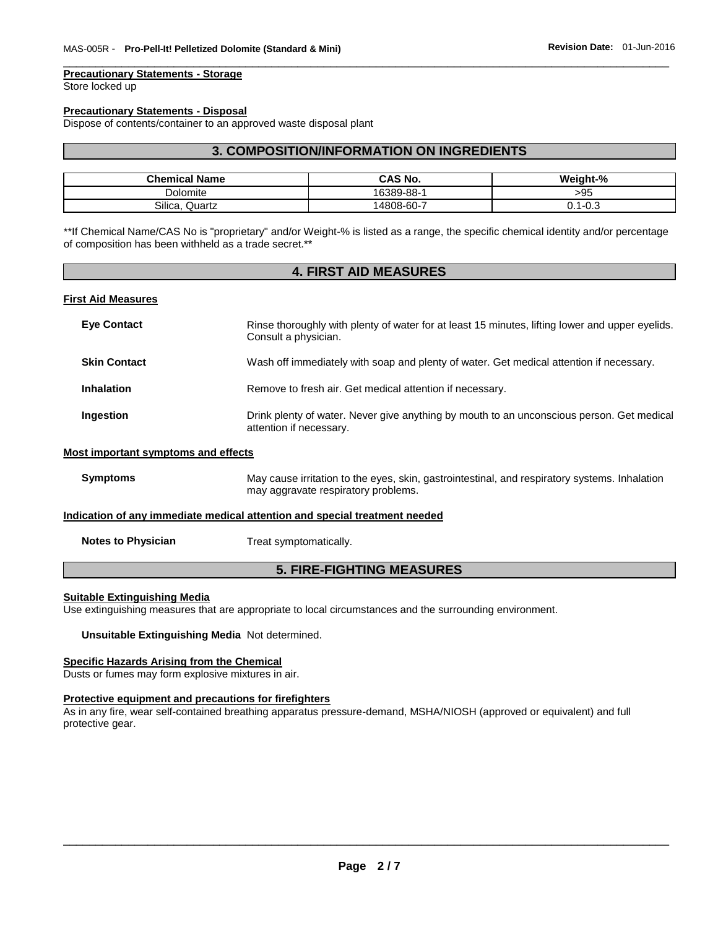#### **Precautionary Statements - Storage**

Store locked up

#### **Precautionary Statements - Disposal**

Dispose of contents/container to an approved waste disposal plant

#### **3. COMPOSITION/INFORMATION ON INGREDIENTS**

\_\_\_\_\_\_\_\_\_\_\_\_\_\_\_\_\_\_\_\_\_\_\_\_\_\_\_\_\_\_\_\_\_\_\_\_\_\_\_\_\_\_\_\_\_\_\_\_\_\_\_\_\_\_\_\_\_\_\_\_\_\_\_\_\_\_\_\_\_\_\_\_\_\_\_\_\_\_\_\_\_\_\_\_\_\_\_\_\_\_\_\_\_

| <b>Chemical Name</b> | CAS No.    | Weight-%             |
|----------------------|------------|----------------------|
| Dolomite             | 16389-88-1 | >95                  |
| Silica<br>Quartz     | 14808-60-7 | <u>_ດ ລ</u><br>. ∪.∪ |

\*\*If Chemical Name/CAS No is "proprietary" and/or Weight-% is listed as a range, the specific chemical identity and/or percentage of composition has been withheld as a trade secret.\*\*

#### **4. FIRST AID MEASURES**

#### **First Aid Measures**

| <b>Eye Contact</b>                  | Rinse thoroughly with plenty of water for at least 15 minutes, lifting lower and upper eyelids.<br>Consult a physician.              |
|-------------------------------------|--------------------------------------------------------------------------------------------------------------------------------------|
| <b>Skin Contact</b>                 | Wash off immediately with soap and plenty of water. Get medical attention if necessary.                                              |
| <b>Inhalation</b>                   | Remove to fresh air. Get medical attention if necessary.                                                                             |
| Ingestion                           | Drink plenty of water. Never give anything by mouth to an unconscious person. Get medical<br>attention if necessary.                 |
| Most important symptoms and effects |                                                                                                                                      |
| <b>Symptoms</b>                     | May cause irritation to the eyes, skin, gastrointestinal, and respiratory systems. Inhalation<br>may aggravate respiratory problems. |
|                                     | Indication of any immediate medical attention and special treatment needed                                                           |

#### **Notes to Physician**  Treat symptomatically.

# **5. FIRE-FIGHTING MEASURES**

#### **Suitable Extinguishing Media**

Use extinguishing measures that are appropriate to local circumstances and the surrounding environment.

#### **Unsuitable Extinguishing Media** Not determined.

# **Specific Hazards Arising from the Chemical**

Dusts or fumes may form explosive mixtures in air.

#### **Protective equipment and precautions for firefighters**

As in any fire, wear self-contained breathing apparatus pressure-demand, MSHA/NIOSH (approved or equivalent) and full protective gear.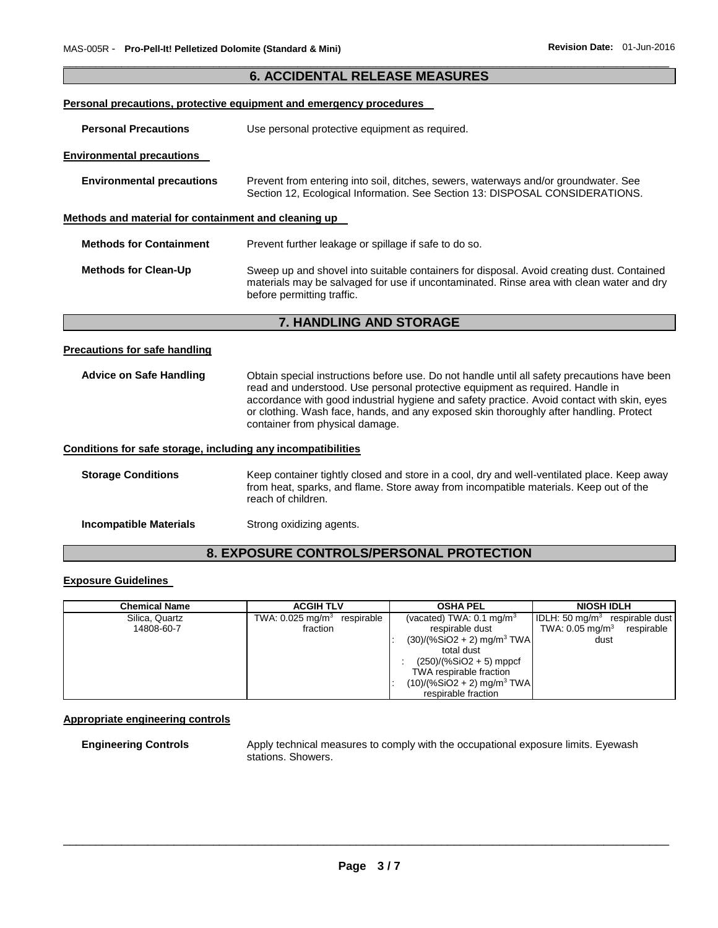|                                                              | <b>6. ACCIDENTAL RELEASE MEASURES</b>                                                                                                                                                                                                                                                                                                                                                                    |
|--------------------------------------------------------------|----------------------------------------------------------------------------------------------------------------------------------------------------------------------------------------------------------------------------------------------------------------------------------------------------------------------------------------------------------------------------------------------------------|
|                                                              | <b>Personal precautions, protective equipment and emergency procedures</b>                                                                                                                                                                                                                                                                                                                               |
| <b>Personal Precautions</b>                                  | Use personal protective equipment as required.                                                                                                                                                                                                                                                                                                                                                           |
| <b>Environmental precautions</b>                             |                                                                                                                                                                                                                                                                                                                                                                                                          |
| <b>Environmental precautions</b>                             | Prevent from entering into soil, ditches, sewers, waterways and/or groundwater. See<br>Section 12, Ecological Information. See Section 13: DISPOSAL CONSIDERATIONS.                                                                                                                                                                                                                                      |
| Methods and material for containment and cleaning up         |                                                                                                                                                                                                                                                                                                                                                                                                          |
| <b>Methods for Containment</b>                               | Prevent further leakage or spillage if safe to do so.                                                                                                                                                                                                                                                                                                                                                    |
| <b>Methods for Clean-Up</b>                                  | Sweep up and shovel into suitable containers for disposal. Avoid creating dust. Contained<br>materials may be salvaged for use if uncontaminated. Rinse area with clean water and dry<br>before permitting traffic.                                                                                                                                                                                      |
|                                                              | 7. HANDLING AND STORAGE                                                                                                                                                                                                                                                                                                                                                                                  |
| <b>Precautions for safe handling</b>                         |                                                                                                                                                                                                                                                                                                                                                                                                          |
| <b>Advice on Safe Handling</b>                               | Obtain special instructions before use. Do not handle until all safety precautions have been<br>read and understood. Use personal protective equipment as required. Handle in<br>accordance with good industrial hygiene and safety practice. Avoid contact with skin, eyes<br>or clothing. Wash face, hands, and any exposed skin thoroughly after handling. Protect<br>container from physical damage. |
| Conditions for safe storage, including any incompatibilities |                                                                                                                                                                                                                                                                                                                                                                                                          |
| <b>Storage Conditions</b>                                    | Keep container tightly closed and store in a cool, dry and well-ventilated place. Keep away<br>from heat, sparks, and flame. Store away from incompatible materials. Keep out of the<br>reach of children.                                                                                                                                                                                               |

**Incompatible Materials Strong oxidizing agents.** 

# **8. EXPOSURE CONTROLS/PERSONAL PROTECTION**

# **Exposure Guidelines**

| <b>Chemical Name</b> | <b>ACGIH TLV</b>                       | <b>OSHA PEL</b>                          | <b>NIOSH IDLH</b>                              |  |
|----------------------|----------------------------------------|------------------------------------------|------------------------------------------------|--|
| Silica, Quartz       | TWA: $0.025 \text{ mg/m}^3$ respirable | (vacated) TWA: $0.1 \text{ mg/m}^3$      | $ $ IDLH: 50 mg/m <sup>3</sup> respirable dust |  |
| 14808-60-7           | fraction                               | respirable dust                          | TWA: 0.05 mg/m $3$<br>respirable               |  |
|                      |                                        | $(30)/(%SiO2 + 2)$ mg/m <sup>3</sup> TWA | dust                                           |  |
|                      |                                        | total dust                               |                                                |  |
|                      |                                        | $(250)/(%SiO2 + 5)$ mppcf                |                                                |  |
|                      |                                        | TWA respirable fraction                  |                                                |  |
|                      |                                        | $(10)/(%SiO2 + 2)$ mg/m <sup>3</sup> TWA |                                                |  |
|                      |                                        | respirable fraction                      |                                                |  |

#### **Appropriate engineering controls**

**Engineering Controls** Apply technical measures to comply with the occupational exposure limits. Eyewash stations. Showers.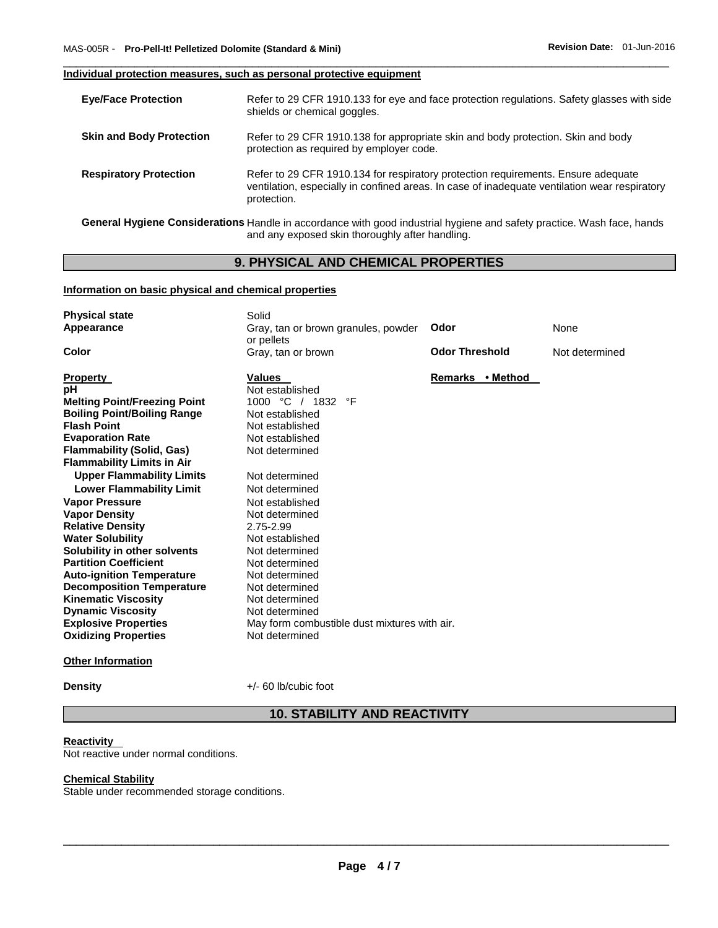#### **Individual protection measures, such as personal protective equipment**

| <b>Eye/Face Protection</b>      | Refer to 29 CFR 1910.133 for eye and face protection regulations. Safety glasses with side<br>shields or chemical goggles.                                                                        |
|---------------------------------|---------------------------------------------------------------------------------------------------------------------------------------------------------------------------------------------------|
| <b>Skin and Body Protection</b> | Refer to 29 CFR 1910.138 for appropriate skin and body protection. Skin and body<br>protection as required by employer code.                                                                      |
| <b>Respiratory Protection</b>   | Refer to 29 CFR 1910.134 for respiratory protection requirements. Ensure adequate<br>ventilation, especially in confined areas. In case of inadequate ventilation wear respiratory<br>protection. |

\_\_\_\_\_\_\_\_\_\_\_\_\_\_\_\_\_\_\_\_\_\_\_\_\_\_\_\_\_\_\_\_\_\_\_\_\_\_\_\_\_\_\_\_\_\_\_\_\_\_\_\_\_\_\_\_\_\_\_\_\_\_\_\_\_\_\_\_\_\_\_\_\_\_\_\_\_\_\_\_\_\_\_\_\_\_\_\_\_\_\_\_\_

**General Hygiene Considerations** Handle in accordance with good industrial hygiene and safety practice. Wash face, hands and any exposed skin thoroughly after handling.

### **9. PHYSICAL AND CHEMICAL PROPERTIES**

### **Information on basic physical and chemical properties**

| <b>Physical state</b><br>Appearance<br>Color                                                                                                                                                                                                                                                                                                                                                                                                                                                                                                       | Solid<br>Gray, tan or brown granules, powder<br>or pellets<br>Gray, tan or brown                                                                                                                                                                                                                                     | Odor<br><b>Odor Threshold</b> | None<br>Not determined |
|----------------------------------------------------------------------------------------------------------------------------------------------------------------------------------------------------------------------------------------------------------------------------------------------------------------------------------------------------------------------------------------------------------------------------------------------------------------------------------------------------------------------------------------------------|----------------------------------------------------------------------------------------------------------------------------------------------------------------------------------------------------------------------------------------------------------------------------------------------------------------------|-------------------------------|------------------------|
|                                                                                                                                                                                                                                                                                                                                                                                                                                                                                                                                                    |                                                                                                                                                                                                                                                                                                                      |                               |                        |
| <b>Property</b><br>рH<br><b>Melting Point/Freezing Point</b><br><b>Boiling Point/Boiling Range</b><br><b>Flash Point</b><br><b>Evaporation Rate</b><br><b>Flammability (Solid, Gas)</b><br><b>Flammability Limits in Air</b><br><b>Upper Flammability Limits</b><br><b>Lower Flammability Limit</b><br><b>Vapor Pressure</b><br><b>Vapor Density</b><br><b>Relative Density</b><br><b>Water Solubility</b><br>Solubility in other solvents<br><b>Partition Coefficient</b><br><b>Auto-ignition Temperature</b><br><b>Decomposition Temperature</b> | <b>Values</b><br>Not established<br>1000 °C / 1832<br>°F<br>Not established<br>Not established<br>Not established<br>Not determined<br>Not determined<br>Not determined<br>Not established<br>Not determined<br>2.75-2.99<br>Not established<br>Not determined<br>Not determined<br>Not determined<br>Not determined | Remarks • Method              |                        |
| <b>Kinematic Viscosity</b><br><b>Dynamic Viscosity</b>                                                                                                                                                                                                                                                                                                                                                                                                                                                                                             | Not determined<br>Not determined                                                                                                                                                                                                                                                                                     |                               |                        |
| <b>Explosive Properties</b>                                                                                                                                                                                                                                                                                                                                                                                                                                                                                                                        | May form combustible dust mixtures with air.                                                                                                                                                                                                                                                                         |                               |                        |
| <b>Oxidizing Properties</b>                                                                                                                                                                                                                                                                                                                                                                                                                                                                                                                        | Not determined                                                                                                                                                                                                                                                                                                       |                               |                        |
| <b>Other Information</b>                                                                                                                                                                                                                                                                                                                                                                                                                                                                                                                           |                                                                                                                                                                                                                                                                                                                      |                               |                        |

**Density**  $+/- 60$  lb/cubic foot

# **10. STABILITY AND REACTIVITY**

#### **Reactivity**

Not reactive under normal conditions.

### **Chemical Stability**

Stable under recommended storage conditions.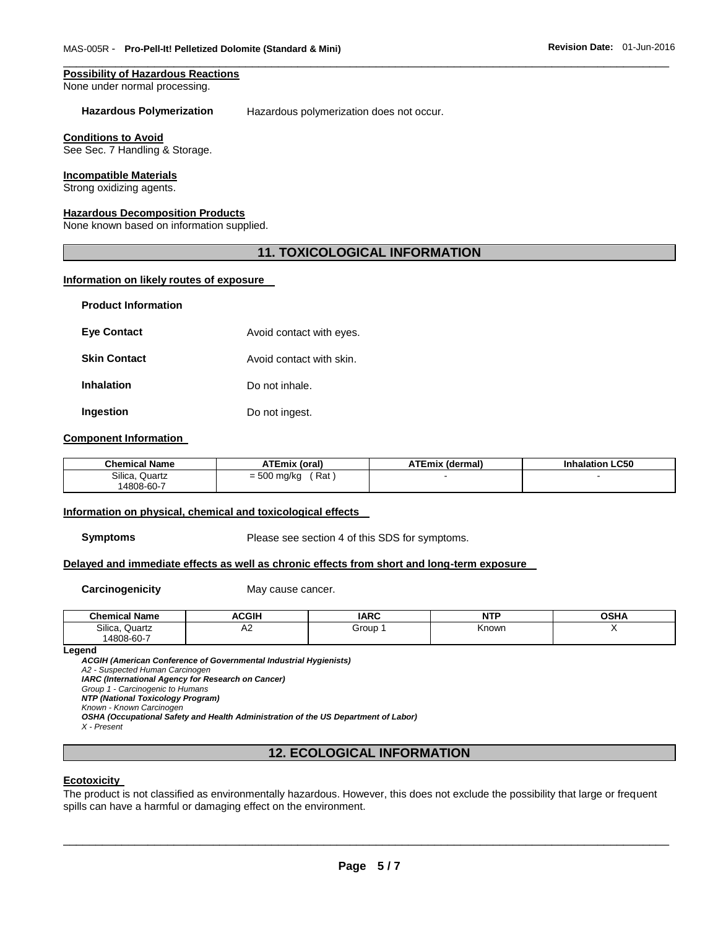#### **Possibility of Hazardous Reactions**

None under normal processing.

**Hazardous Polymerization** Hazardous polymerization does not occur.

\_\_\_\_\_\_\_\_\_\_\_\_\_\_\_\_\_\_\_\_\_\_\_\_\_\_\_\_\_\_\_\_\_\_\_\_\_\_\_\_\_\_\_\_\_\_\_\_\_\_\_\_\_\_\_\_\_\_\_\_\_\_\_\_\_\_\_\_\_\_\_\_\_\_\_\_\_\_\_\_\_\_\_\_\_\_\_\_\_\_\_\_\_

#### **Conditions to Avoid**

See Sec. 7 Handling & Storage.

#### **Incompatible Materials**

Strong oxidizing agents.

### **Hazardous Decomposition Products**

None known based on information supplied.

#### **11. TOXICOLOGICAL INFORMATION**

#### **Information on likely routes of exposure**

| <b>Product Information</b> |                          |
|----------------------------|--------------------------|
| <b>Eye Contact</b>         | Avoid contact with eyes. |
| <b>Skin Contact</b>        | Avoid contact with skin. |
| <b>Inhalation</b>          | Do not inhale.           |
| Ingestion                  | Do not ingest.           |

#### **Component Information**

| <b>Chemical Name</b> | <b>ATEmix (oral)</b>                   | <b>ATEmix (dermal)</b> | <b>Inhalation LC50</b> |
|----------------------|----------------------------------------|------------------------|------------------------|
| Silica,<br>Quartz    | Rat<br>$-500$<br>= 500 mg/kg<br>$\sim$ |                        |                        |
| 14808-60-7           |                                        |                        |                        |

#### **Information on physical, chemical and toxicological effects**

**Symptoms** Please see section 4 of this SDS for symptoms.

#### **Delayed and immediate effects as well as chronic effects from short and long-term exposure**

**Carcinogenicity May cause cancer.** 

| ' Name<br>Chemical | <b>ACGIP</b> | IAPC  | NTD   | <b>OCU</b><br>אווטי |
|--------------------|--------------|-------|-------|---------------------|
| Silica<br>Quartz   | ∼            | Group | Known |                     |
| $14808 - 60 - 7$   |              |       |       |                     |

#### **Legend**

*ACGIH (American Conference of Governmental Industrial Hygienists) A2 - Suspected Human Carcinogen IARC (International Agency for Research on Cancer) Group 1 - Carcinogenic to Humans NTP (National Toxicology Program)*

*Known - Known Carcinogen* 

*OSHA (Occupational Safety and Health Administration of the US Department of Labor)*

*X - Present* 

#### **12. ECOLOGICAL INFORMATION**

#### **Ecotoxicity**

The product is not classified as environmentally hazardous. However, this does not exclude the possibility that large or frequent spills can have a harmful or damaging effect on the environment.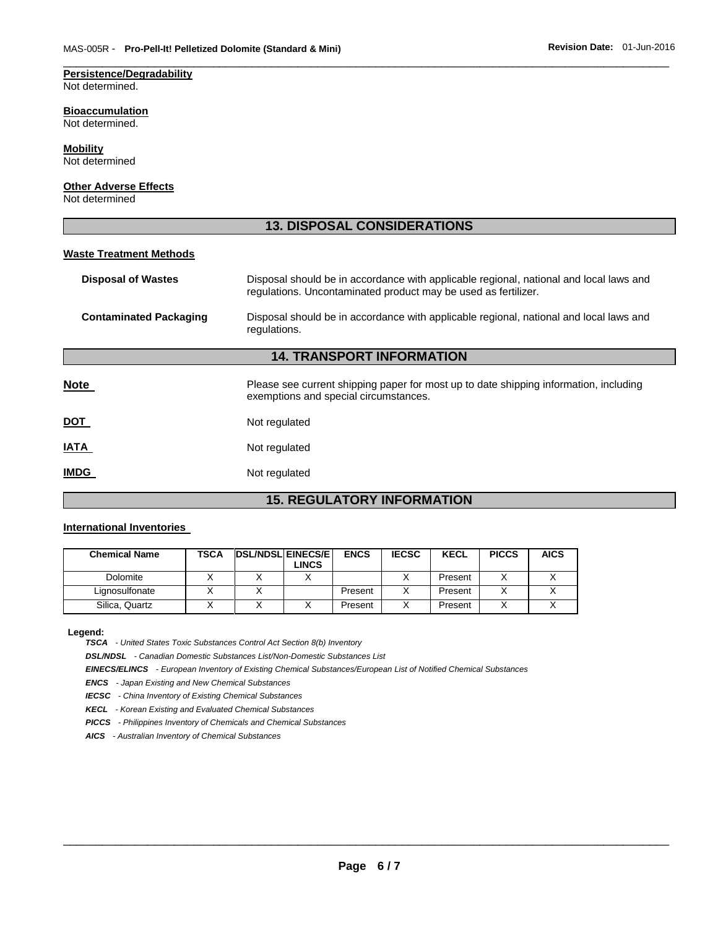# **Persistence/Degradability**

Not determined.

#### **Bioaccumulation**

Not determined.

#### **Mobility**

Not determined

#### **Other Adverse Effects**

Not determined

#### **13. DISPOSAL CONSIDERATIONS**

\_\_\_\_\_\_\_\_\_\_\_\_\_\_\_\_\_\_\_\_\_\_\_\_\_\_\_\_\_\_\_\_\_\_\_\_\_\_\_\_\_\_\_\_\_\_\_\_\_\_\_\_\_\_\_\_\_\_\_\_\_\_\_\_\_\_\_\_\_\_\_\_\_\_\_\_\_\_\_\_\_\_\_\_\_\_\_\_\_\_\_\_\_

#### **Waste Treatment Methods**

| <b>Disposal of Wastes</b>     | Disposal should be in accordance with applicable regional, national and local laws and<br>regulations. Uncontaminated product may be used as fertilizer. |  |
|-------------------------------|----------------------------------------------------------------------------------------------------------------------------------------------------------|--|
| <b>Contaminated Packaging</b> | Disposal should be in accordance with applicable regional, national and local laws and<br>regulations.                                                   |  |
|                               | <b>14. TRANSPORT INFORMATION</b>                                                                                                                         |  |
| <b>Note</b>                   | Please see current shipping paper for most up to date shipping information, including<br>exemptions and special circumstances.                           |  |
| <u>DOT</u>                    | Not regulated                                                                                                                                            |  |
| IATA                          | Not regulated                                                                                                                                            |  |
| <b>IMDG</b>                   | Not regulated                                                                                                                                            |  |

# **15. REGULATORY INFORMATION**

#### **International Inventories**

| <b>Chemical Name</b> | TSCA | <b>IDSL/NDSLIEINECS/EI</b><br>LINCS | <b>ENCS</b> | <b>IECSC</b> | <b>KECL</b> | <b>PICCS</b> | <b>AICS</b> |
|----------------------|------|-------------------------------------|-------------|--------------|-------------|--------------|-------------|
| Dolomite             |      |                                     |             |              | Present     |              |             |
| Lignosulfonate       |      |                                     | Present     |              | Present     |              |             |
| Silica, Quartz       |      |                                     | Present     |              | Present     |              |             |

**Legend:** 

*TSCA - United States Toxic Substances Control Act Section 8(b) Inventory* 

*DSL/NDSL - Canadian Domestic Substances List/Non-Domestic Substances List* 

*EINECS/ELINCS - European Inventory of Existing Chemical Substances/European List of Notified Chemical Substances* 

*ENCS - Japan Existing and New Chemical Substances* 

*IECSC - China Inventory of Existing Chemical Substances* 

*KECL - Korean Existing and Evaluated Chemical Substances* 

*PICCS - Philippines Inventory of Chemicals and Chemical Substances* 

*AICS - Australian Inventory of Chemical Substances*